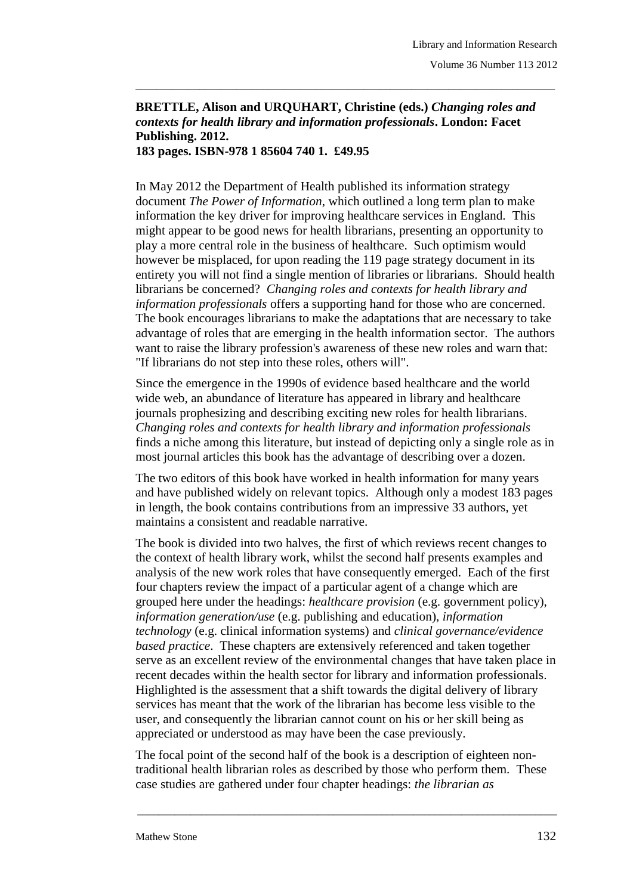## **BRETTLE, Alison and URQUHART, Christine (eds.)** *Changing roles and contexts for health library and information professionals***. London: Facet Publishing. 2012.**

\_\_\_\_\_\_\_\_\_\_\_\_\_\_\_\_\_\_\_\_\_\_\_\_\_\_\_\_\_\_\_\_\_\_\_\_\_\_\_\_\_\_\_\_\_\_\_\_\_\_\_\_\_\_\_\_\_\_\_\_\_\_\_\_\_\_\_\_\_\_\_\_\_\_\_\_\_\_\_

**183 pages. ISBN-978 1 85604 740 1. £49.95**

In May 2012 the Department of Health published its information strategy document *The Power of Information*, which outlined a long term plan to make information the key driver for improving healthcare services in England. This might appear to be good news for health librarians, presenting an opportunity to play a more central role in the business of healthcare. Such optimism would however be misplaced, for upon reading the 119 page strategy document in its entirety you will not find a single mention of libraries or librarians. Should health librarians be concerned? *Changing roles and contexts for health library and information professionals* offers a supporting hand for those who are concerned. The book encourages librarians to make the adaptations that are necessary to take advantage of roles that are emerging in the health information sector. The authors want to raise the library profession's awareness of these new roles and warn that: "If librarians do not step into these roles, others will".

Since the emergence in the 1990s of evidence based healthcare and the world wide web, an abundance of literature has appeared in library and healthcare journals prophesizing and describing exciting new roles for health librarians. *Changing roles and contexts for health library and information professionals* finds a niche among this literature, but instead of depicting only a single role as in most journal articles this book has the advantage of describing over a dozen.

The two editors of this book have worked in health information for many years and have published widely on relevant topics. Although only a modest 183 pages in length, the book contains contributions from an impressive 33 authors, yet maintains a consistent and readable narrative.

The book is divided into two halves, the first of which reviews recent changes to the context of health library work, whilst the second half presents examples and analysis of the new work roles that have consequently emerged. Each of the first four chapters review the impact of a particular agent of a change which are grouped here under the headings: *healthcare provision* (e.g. government policy), *information generation/use* (e.g. publishing and education), *information technology* (e.g. clinical information systems) and *clinical governance/evidence based practice*. These chapters are extensively referenced and taken together serve as an excellent review of the environmental changes that have taken place in recent decades within the health sector for library and information professionals. Highlighted is the assessment that a shift towards the digital delivery of library services has meant that the work of the librarian has become less visible to the user, and consequently the librarian cannot count on his or her skill being as appreciated or understood as may have been the case previously.

The focal point of the second half of the book is a description of eighteen nontraditional health librarian roles as described by those who perform them. These case studies are gathered under four chapter headings: *the librarian as* 

\_\_\_\_\_\_\_\_\_\_\_\_\_\_\_\_\_\_\_\_\_\_\_\_\_\_\_\_\_\_\_\_\_\_\_\_\_\_\_\_\_\_\_\_\_\_\_\_\_\_\_\_\_\_\_\_\_\_\_\_\_\_\_\_\_\_\_\_\_\_\_\_\_\_\_\_\_\_\_